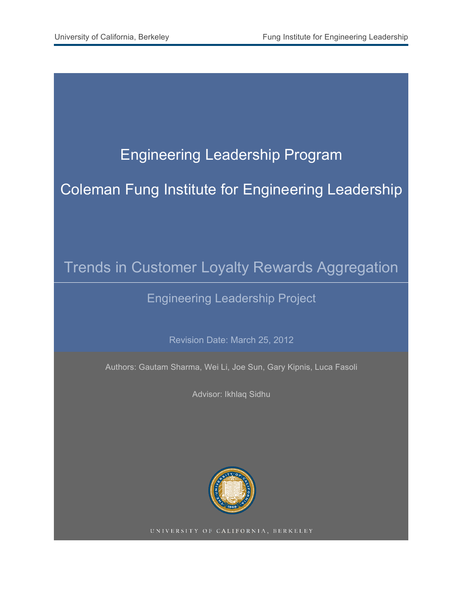

UNIVERSITY OF CALIFORNIA, BERKELEY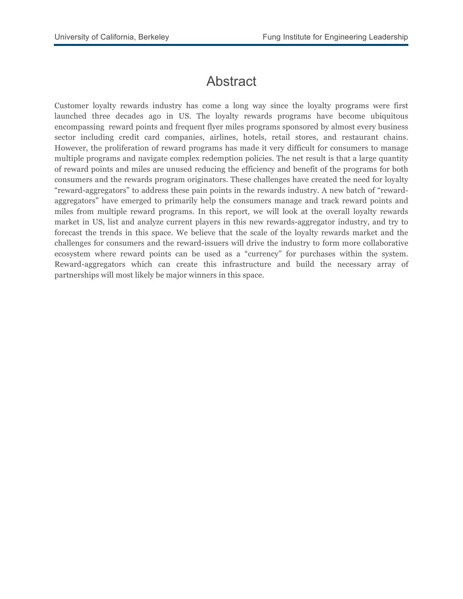### Abstract

Customer loyalty rewards industry has come a long way since the loyalty programs were first launched three decades ago in US. The loyalty rewards programs have become ubiquitous encompassing reward points and frequent flyer miles programs sponsored by almost every business sector including credit card companies, airlines, hotels, retail stores, and restaurant chains. However, the proliferation of reward programs has made it very difficult for consumers to manage multiple programs and navigate complex redemption policies. The net result is that a large quantity of reward points and miles are unused reducing the efficiency and benefit of the programs for both consumers and the rewards program originators. These challenges have created the need for loyalty "reward-aggregators" to address these pain points in the rewards industry. A new batch of "rewardaggregators" have emerged to primarily help the consumers manage and track reward points and miles from multiple reward programs. In this report, we will look at the overall loyalty rewards market in US, list and analyze current players in this new rewards-aggregator industry, and try to forecast the trends in this space. We believe that the scale of the loyalty rewards market and the challenges for consumers and the reward-issuers will drive the industry to form more collaborative ecosystem where reward points can be used as a "currency" for purchases within the system. Reward-aggregators which can create this infrastructure and build the necessary array of partnerships will most likely be major winners in this space.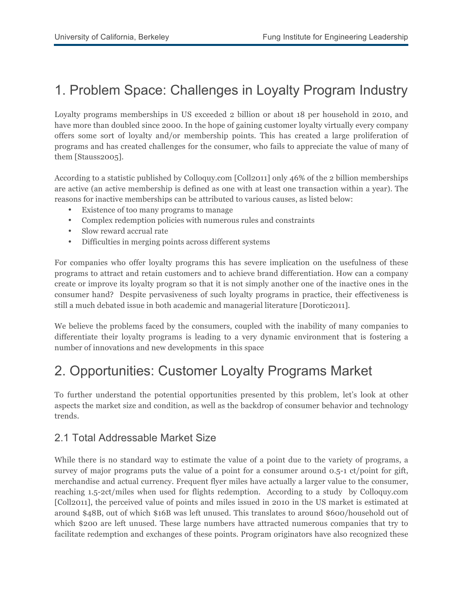## 1. Problem Space: Challenges in Loyalty Program Industry

Loyalty programs memberships in US exceeded 2 billion or about 18 per household in 2010, and have more than doubled since 2000. In the hope of gaining customer loyalty virtually every company offers some sort of loyalty and/or membership points. This has created a large proliferation of programs and has created challenges for the consumer, who fails to appreciate the value of many of them [Stauss2005].

According to a statistic published by Colloquy.com [Coll2011] only 46% of the 2 billion memberships are active (an active membership is defined as one with at least one transaction within a year). The reasons for inactive memberships can be attributed to various causes, as listed below:

- Existence of too many programs to manage
- Complex redemption policies with numerous rules and constraints
- Slow reward accrual rate
- Difficulties in merging points across different systems

For companies who offer loyalty programs this has severe implication on the usefulness of these programs to attract and retain customers and to achieve brand differentiation. How can a company create or improve its loyalty program so that it is not simply another one of the inactive ones in the consumer hand? Despite pervasiveness of such loyalty programs in practice, their effectiveness is still a much debated issue in both academic and managerial literature [Dorotic2011].

We believe the problems faced by the consumers, coupled with the inability of many companies to differentiate their loyalty programs is leading to a very dynamic environment that is fostering a number of innovations and new developments in this space

# 2. Opportunities: Customer Loyalty Programs Market

To further understand the potential opportunities presented by this problem, let's look at other aspects the market size and condition, as well as the backdrop of consumer behavior and technology trends.

#### 2.1 Total Addressable Market Size

While there is no standard way to estimate the value of a point due to the variety of programs, a survey of major programs puts the value of a point for a consumer around 0.5-1 ct/point for gift, merchandise and actual currency. Frequent flyer miles have actually a larger value to the consumer, reaching 1.5-2ct/miles when used for flights redemption. According to a study by Colloquy.com [Coll2011], the perceived value of points and miles issued in 2010 in the US market is estimated at around \$48B, out of which \$16B was left unused. This translates to around \$600/household out of which \$200 are left unused. These large numbers have attracted numerous companies that try to facilitate redemption and exchanges of these points. Program originators have also recognized these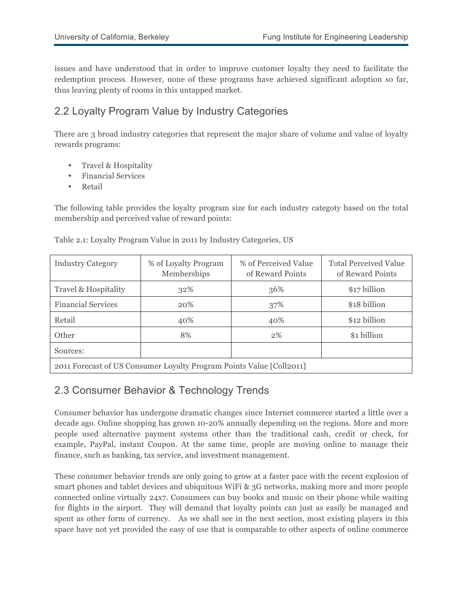issues and have understood that in order to improve customer loyalty they need to facilitate the redemption process. However, none of these programs have achieved significant adoption so far, thus leaving plenty of rooms in this untapped market.

### 2.2 Loyalty Program Value by Industry Categories

There are 3 broad industry categories that represent the major share of volume and value of loyalty rewards programs:

- Travel & Hospitality
- Financial Services
- Retail

The following table provides the loyalty program size for each industry categoty based on the total membership and perceived value of reward points:

| <b>Industry Category</b>                                             | % of Perceived Value<br>% of Loyalty Program<br>Memberships<br>of Reward Points |     | <b>Total Perceived Value</b><br>of Reward Points |  |  |  |
|----------------------------------------------------------------------|---------------------------------------------------------------------------------|-----|--------------------------------------------------|--|--|--|
| Travel & Hospitality                                                 | 32%                                                                             | 36% | \$17 billion                                     |  |  |  |
| <b>Financial Services</b>                                            | 20%                                                                             | 37% | \$18 billion                                     |  |  |  |
| Retail                                                               | 40%                                                                             | 40% | \$12 billion                                     |  |  |  |
| Other                                                                | 8%                                                                              | 2%  | \$1 billion                                      |  |  |  |
| Sources:                                                             |                                                                                 |     |                                                  |  |  |  |
| 2011 Forecast of US Consumer Loyalty Program Points Value [Coll2011] |                                                                                 |     |                                                  |  |  |  |

Table 2.1: Loyalty Program Value in 2011 by Industry Categories, US

#### 2.3 Consumer Behavior & Technology Trends

Consumer behavior has undergone dramatic changes since Internet commerce started a little over a decade ago. Online shopping has grown 10-20% annually depending on the regions. More and more people used alternative payment systems other than the traditional cash, credit or check, for example, PayPal, instant Coupon. At the same time, people are moving online to manage their finance, such as banking, tax service, and investment management.

These consumer behavior trends are only going to grow at a faster pace with the recent explosion of smart phones and tablet devices and ubiquitous WiFi & 3G networks, making more and more people connected online virtually 24x7. Consumers can buy books and music on their phone while waiting for flights in the airport. They will demand that loyalty points can just as easily be managed and spent as other form of currency. As we shall see in the next section, most existing players in this space have not yet provided the easy of use that is comparable to other aspects of online commerce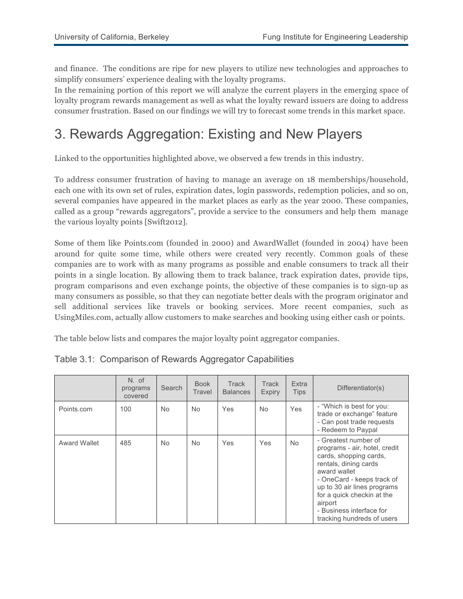and finance. The conditions are ripe for new players to utilize new technologies and approaches to simplify consumers' experience dealing with the loyalty programs.

In the remaining portion of this report we will analyze the current players in the emerging space of loyalty program rewards management as well as what the loyalty reward issuers are doing to address consumer frustration. Based on our findings we will try to forecast some trends in this market space.

## 3. Rewards Aggregation: Existing and New Players

Linked to the opportunities highlighted above, we observed a few trends in this industry.

To address consumer frustration of having to manage an average on 18 memberships/household, each one with its own set of rules, expiration dates, login passwords, redemption policies, and so on, several companies have appeared in the market places as early as the year 2000. These companies, called as a group "rewards aggregators", provide a service to the consumers and help them manage the various loyalty points [Swift2012].

Some of them like Points.com (founded in 2000) and AwardWallet (founded in 2004) have been around for quite some time, while others were created very recently. Common goals of these companies are to work with as many programs as possible and enable consumers to track all their points in a single location. By allowing them to track balance, track expiration dates, provide tips, program comparisons and even exchange points, the objective of these companies is to sign-up as many consumers as possible, so that they can negotiate better deals with the program originator and sell additional services like travels or booking services. More recent companies, such as UsingMiles.com, actually allow customers to make searches and booking using either cash or points.

The table below lists and compares the major loyalty point aggregator companies.

|              | N. of<br>programs<br>covered | Search | <b>Book</b><br>Travel | Track<br><b>Balances</b> | Track<br><b>Expiry</b> | Extra<br><b>Tips</b> | Differentiator(s)                                                                                                                                                                                                                                                                        |
|--------------|------------------------------|--------|-----------------------|--------------------------|------------------------|----------------------|------------------------------------------------------------------------------------------------------------------------------------------------------------------------------------------------------------------------------------------------------------------------------------------|
| Points.com   | 100                          | No.    | No.                   | Yes                      | N <sub>o</sub>         | Yes                  | - "Which is best for you:<br>trade or exchange" feature<br>- Can post trade requests<br>- Redeem to Paypal                                                                                                                                                                               |
| Award Wallet | 485                          | No.    | No.                   | Yes                      | Yes                    | No.                  | - Greatest number of<br>programs - air, hotel, credit<br>cards, shopping cards,<br>rentals, dining cards<br>award wallet<br>- OneCard - keeps track of<br>up to 30 air lines programs<br>for a quick checkin at the<br>airport<br>- Business interface for<br>tracking hundreds of users |

Table 3.1: Comparison of Rewards Aggregator Capabilities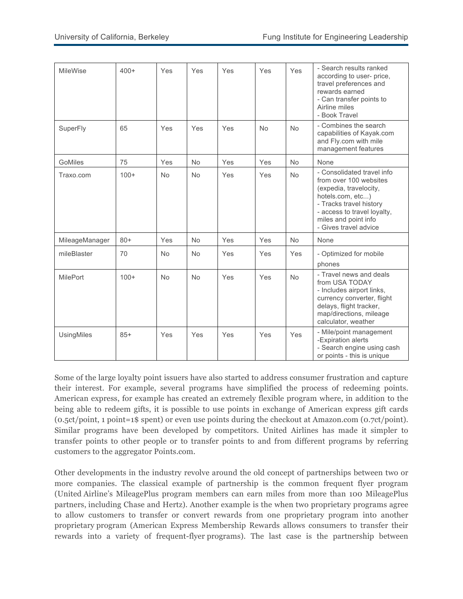| <b>MileWise</b>   | $400+$ | Yes       | Yes       | Yes | Yes       | Yes       | - Search results ranked<br>according to user-price.<br>travel preferences and<br>rewards earned<br>- Can transfer points to<br>Airline miles<br>- Book Travel                                                 |
|-------------------|--------|-----------|-----------|-----|-----------|-----------|---------------------------------------------------------------------------------------------------------------------------------------------------------------------------------------------------------------|
| SuperFly          | 65     | Yes       | Yes       | Yes | <b>No</b> | No        | - Combines the search<br>capabilities of Kayak.com<br>and Fly.com with mile<br>management features                                                                                                            |
| GoMiles           | 75     | Yes       | <b>No</b> | Yes | Yes       | <b>No</b> | None                                                                                                                                                                                                          |
| Traxo.com         | $100+$ | <b>No</b> | <b>No</b> | Yes | Yes       | <b>No</b> | - Consolidated travel info<br>from over 100 websites<br>(expedia, travelocity,<br>hotels.com, etc)<br>- Tracks travel history<br>- access to travel loyalty,<br>miles and point info<br>- Gives travel advice |
| MileageManager    | $80+$  | Yes       | <b>No</b> | Yes | Yes       | <b>No</b> | None                                                                                                                                                                                                          |
| mileBlaster       | 70     | <b>No</b> | <b>No</b> | Yes | Yes       | Yes       | - Optimized for mobile<br>phones                                                                                                                                                                              |
| <b>MilePort</b>   | $100+$ | <b>No</b> | <b>No</b> | Yes | Yes       | No        | - Travel news and deals<br>from USA TODAY<br>- Includes airport links,<br>currency converter, flight<br>delays, flight tracker,<br>map/directions, mileage<br>calculator, weather                             |
| <b>UsingMiles</b> | $85+$  | Yes       | Yes       | Yes | Yes       | Yes       | - Mile/point management<br>-Expiration alerts<br>- Search engine using cash<br>or points - this is unique                                                                                                     |

Some of the large loyalty point issuers have also started to address consumer frustration and capture their interest. For example, several programs have simplified the process of redeeming points. American express, for example has created an extremely flexible program where, in addition to the being able to redeem gifts, it is possible to use points in exchange of American express gift cards (0.5ct/point, 1 point=1\$ spent) or even use points during the checkout at Amazon.com (0.7ct/point). Similar programs have been developed by competitors. United Airlines has made it simpler to transfer points to other people or to transfer points to and from different programs by referring customers to the aggregator Points.com.

Other developments in the industry revolve around the old concept of partnerships between two or more companies. The classical example of partnership is the common frequent flyer program (United Airline's MileagePlus program members can earn miles from more than 100 MileagePlus partners, including Chase and Hertz). Another example is the when two proprietary programs agree to allow customers to transfer or convert rewards from one proprietary program into another proprietary program (American Express Membership Rewards allows consumers to transfer their rewards into a variety of frequent-flyer programs). The last case is the partnership between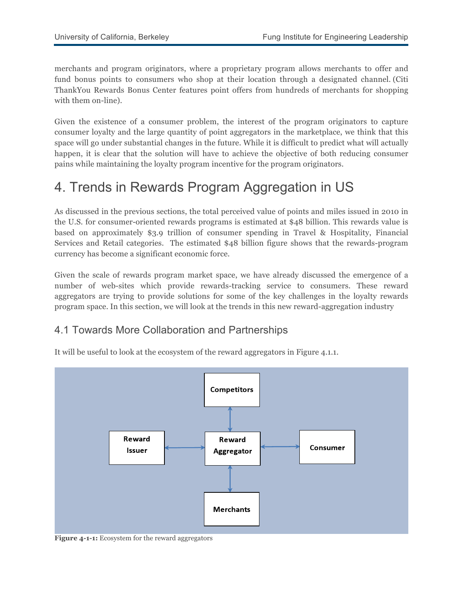merchants and program originators, where a proprietary program allows merchants to offer and fund bonus points to consumers who shop at their location through a designated channel. (Citi ThankYou Rewards Bonus Center features point offers from hundreds of merchants for shopping with them on-line).

Given the existence of a consumer problem, the interest of the program originators to capture consumer loyalty and the large quantity of point aggregators in the marketplace, we think that this space will go under substantial changes in the future. While it is difficult to predict what will actually happen, it is clear that the solution will have to achieve the objective of both reducing consumer pains while maintaining the loyalty program incentive for the program originators.

## 4. Trends in Rewards Program Aggregation in US

As discussed in the previous sections, the total perceived value of points and miles issued in 2010 in the U.S. for consumer-oriented rewards programs is estimated at \$48 billion. This rewards value is based on approximately \$3.9 trillion of consumer spending in Travel & Hospitality, Financial Services and Retail categories. The estimated \$48 billion figure shows that the rewards-program currency has become a significant economic force.

Given the scale of rewards program market space, we have already discussed the emergence of a number of web-sites which provide rewards-tracking service to consumers. These reward aggregators are trying to provide solutions for some of the key challenges in the loyalty rewards program space. In this section, we will look at the trends in this new reward-aggregation industry

#### 4.1 Towards More Collaboration and Partnerships



It will be useful to look at the ecosystem of the reward aggregators in Figure 4.1.1.

**Figure 4-1-1:** Ecosystem for the reward aggregators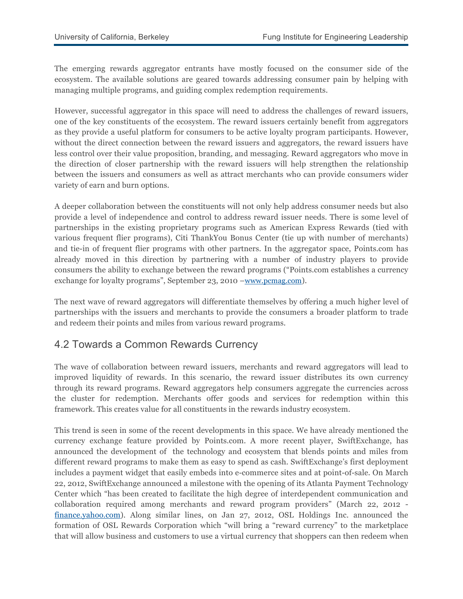The emerging rewards aggregator entrants have mostly focused on the consumer side of the ecosystem. The available solutions are geared towards addressing consumer pain by helping with managing multiple programs, and guiding complex redemption requirements.

However, successful aggregator in this space will need to address the challenges of reward issuers, one of the key constituents of the ecosystem. The reward issuers certainly benefit from aggregators as they provide a useful platform for consumers to be active loyalty program participants. However, without the direct connection between the reward issuers and aggregators, the reward issuers have less control over their value proposition, branding, and messaging. Reward aggregators who move in the direction of closer partnership with the reward issuers will help strengthen the relationship between the issuers and consumers as well as attract merchants who can provide consumers wider variety of earn and burn options.

A deeper collaboration between the constituents will not only help address consumer needs but also provide a level of independence and control to address reward issuer needs. There is some level of partnerships in the existing proprietary programs such as American Express Rewards (tied with various frequent flier programs), Citi ThankYou Bonus Center (tie up with number of merchants) and tie-in of frequent flier programs with other partners. In the aggregator space, Points.com has already moved in this direction by partnering with a number of industry players to provide consumers the ability to exchange between the reward programs ("Points.com establishes a currency exchange for loyalty programs", September 23, 2010 – www.pcmag.com).

The next wave of reward aggregators will differentiate themselves by offering a much higher level of partnerships with the issuers and merchants to provide the consumers a broader platform to trade and redeem their points and miles from various reward programs.

#### 4.2 Towards a Common Rewards Currency

The wave of collaboration between reward issuers, merchants and reward aggregators will lead to improved liquidity of rewards. In this scenario, the reward issuer distributes its own currency through its reward programs. Reward aggregators help consumers aggregate the currencies across the cluster for redemption. Merchants offer goods and services for redemption within this framework. This creates value for all constituents in the rewards industry ecosystem.

This trend is seen in some of the recent developments in this space. We have already mentioned the currency exchange feature provided by Points.com. A more recent player, SwiftExchange, has announced the development of the technology and ecosystem that blends points and miles from different reward programs to make them as easy to spend as cash. SwiftExchange's first deployment includes a payment widget that easily embeds into e-commerce sites and at point-of-sale. On March 22, 2012, SwiftExchange announced a milestone with the opening of its Atlanta Payment Technology Center which "has been created to facilitate the high degree of interdependent communication and collaboration required among merchants and reward program providers" (March 22, 2012 finance.yahoo.com). Along similar lines, on Jan 27, 2012, OSL Holdings Inc. announced the formation of OSL Rewards Corporation which "will bring a "reward currency" to the marketplace that will allow business and customers to use a virtual currency that shoppers can then redeem when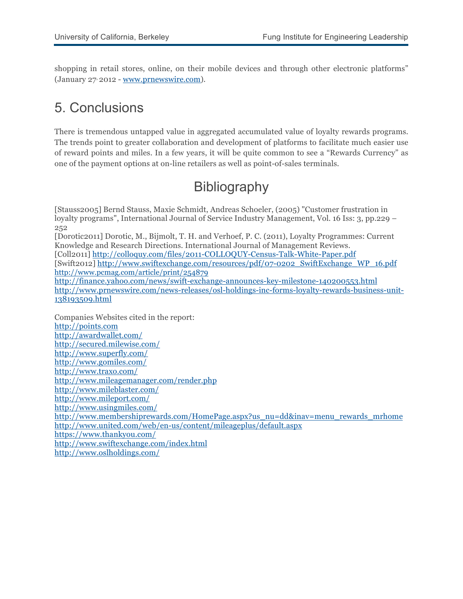shopping in retail stores, online, on their mobile devices and through other electronic platforms" (January 27, 2012 - www.prnewswire.com).

### 5. Conclusions

There is tremendous untapped value in aggregated accumulated value of loyalty rewards programs. The trends point to greater collaboration and development of platforms to facilitate much easier use of reward points and miles. In a few years, it will be quite common to see a "Rewards Currency" as one of the payment options at on-line retailers as well as point-of-sales terminals.

## **Bibliography**

[Stauss2005] Bernd Stauss, Maxie Schmidt, Andreas Schoeler, (2005) "Customer frustration in loyalty programs", International Journal of Service Industry Management, Vol. 16 Iss: 3, pp.229 – 252

[Dorotic2011] Dorotic, M., Bijmolt, T. H. and Verhoef, P. C. (2011), Loyalty Programmes: Current Knowledge and Research Directions. International Journal of Management Reviews.

[Coll2011] http://colloquy.com/files/2011-COLLOQUY-Census-Talk-White-Paper.pdf

[Swift2012] http://www.swiftexchange.com/resources/pdf/07-0202\_SwiftExchange\_WP\_16.pdf http://www.pcmag.com/article/print/254879

http://finance.yahoo.com/news/swift-exchange-announces-key-milestone-140200553.html http://www.prnewswire.com/news-releases/osl-holdings-inc-forms-loyalty-rewards-business-unit-138193509.html

Companies Websites cited in the report: http://points.com http://awardwallet.com/ http://secured.milewise.com/ http://www.superfly.com/ http://www.gomiles.com/ http://www.traxo.com/ http://www.mileagemanager.com/render.php http://www.mileblaster.com/ http://www.mileport.com/ http://www.usingmiles.com/ http://www.membershiprewards.com/HomePage.aspx?us\_nu=dd&inav=menu\_rewards\_mrhome http://www.united.com/web/en-us/content/mileageplus/default.aspx https://www.thankyou.com/ http://www.swiftexchange.com/index.html http://www.oslholdings.com/